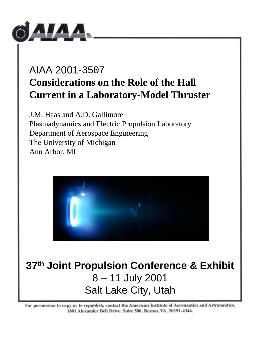

# AIAA 2001-3507 **Considerations on the Role of the Hall Current in a Laboratory-Model Thruster**

J.M. Haas and A.D. Gallimore Plasmadynamics and Electric Propulsion Laboratory Department of Aerospace Engineering The University of Michigan Ann Arbor, MI



# **37th Joint Propulsion Conference & Exhibit** 8 – 11 July 2001 Salt Lake City, Utah

For permission to copy or to republish, contact the American Institute of Aeronautics and Astronautics, 1801 Alexander Bell Drive, Suite 500, Reston, VA, 20191-4344.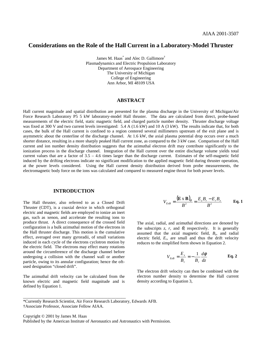# **Considerations on the Role of the Hall Current in a Laboratory-Model Thruster**

James M. Haas<sup>\*</sup> and Alec D. Gallimore<sup>†</sup> Plasmadynamics and Electric Propulsion Laboratory Department of Aerospace Engineering The University of Michigan College of Engineering Ann Arbor, MI 48109 USA

## **ABSTRACT**

Hall current magnitude and spatial distribution are presented for the plasma discharge in the University of Michigan/Air Force Research Laboratory P5 5 kW laboratory-model Hall thruster. The data are calculated from direct, probe-based measurements of the electric field, static magnetic field, and charged particle number density. Thruster discharge voltage was fixed at 300 V and two current levels investigated: 5.4 A (1.6 kW) and 10 A (3 kW). The results indicate that, for both cases, the bulk of the Hall current is confined to a region centered several millimeters upstream of the exit plane and is asymmetric about the centerline of the discharge channel. At 1.6 kW, the axial plasma potential drop occurs over a much shorter distance, resulting in a more sharply peaked Hall current zone, as compared to the 3 kW case. Comparison of the Hall current and ion number density distribution suggests that the azimuthal electron drift may contribute significantly to the ionization process in the discharge channel. Integration of the Hall current over the entire discharge volume yields total current values that are a factor of 3.5 – 4.6 times larger than the discharge current. Estimates of the self-magnetic field induced by the drifting electrons indicate no significant modification to the applied magnetic field during thruster operation, at the power levels considered. Using the Hall current density distribution derived from probe measurements, the electromagnetic body force on the ions was calculated and compared to measured engine thrust for both power levels.

### **INTRODUCTION**

The Hall thruster, also referred to as a Closed Drift Thruster (CDT), is a coaxial device in which orthogonal electric and magnetic fields are employed to ionize an inert gas, such as xenon, and accelerate the resulting ions to produce thrust. A direct consequence of the crossed field configuration is a bulk azimuthal motion of the electrons in the Hall thruster discharge. This motion is the cumulative effect, averaged over many gyroradii, of small variations induced in each cycle of the electrons cyclotron motion by the electric field. The electrons may effect many rotations around the circumference of the discharge channel before undergoing a collision with the channel wall or another particle, owing to its annular configuration; hence the oftused designation "closed drift".

The azimuthal drift velocity can be calculated from the known electric and magnetic field magnitude and is defined by Equation 1.

\_\_\_\_\_\_\_\_\_\_\_\_\_\_\_\_\_\_\_\_\_\_\_\_\_\_\_\_\_\_\_\_\_\_\_\_\_\_\_\_\_\_\_\_\_\_\_\_

$$
V_{ExB} = \frac{(\mathbf{E} \times \mathbf{B})_{\theta}}{B^2} = \frac{E_z B_r - E_r B_z}{B^2}
$$
 Eq. 1

The axial, radial, and azimuthal directions are denoted by the subscripts  $z$ ,  $r$ , and  $\theta$ , respectively. It is generally assumed that the axial magnetic field,  $B_z$ , and radial electric field,  $E_r$ , are small and thus the drift velocity reduces to the simplified form shown in Equation 2.

$$
V_{ExB} = \frac{E_z}{B_r} = -\frac{1}{B_r} \frac{d\phi}{dz}
$$
 Eq. 2

The electron drift velocity can then be combined with the electron number density to determine the Hall current density according to Equation 3,

Copyright © 2001 by James M. Haas

Published by the American Institute of Aeronautics and Astronautics with Permission.

<sup>\*</sup>Currently Research Scientist, Air Force Research Laboratory, Edwards AFB. †Associate Professor, Associate Fellow AIAA.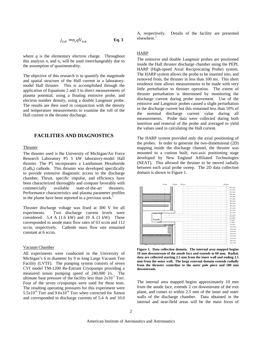$$
j_{ExB} = n_e q V_{ExB}
$$
 Eq. 3

where  $q$  is the elementary electron charge. Throughout this analysis  $n_i$  and  $n_e$  will be used interchangeably due to the assumption of quasineutrality.

The objective of this research is to quantify the magnitude and spatial structure of the Hall current in a laboratorymodel Hall thruster. This is accomplished through the application of Equations 2 and 3 to direct measurements of plasma potential, using a floating emissive probe, and electron number density, using a double Langmuir probe. The results are then used in conjunction with the density and temperature measurements to examine the roll of the Hall current in the thruster discharge.

#### **FACILITIES AND DIAGNOSTICS**

#### Thruster

The thruster used is the University of Michigan/Air Force Research Laboratory P5 5 kW laboratory-model Hall thruster. The P5 incorporates a Lanthanum Hexaboride  $(LaB<sub>6</sub>)$  cathode. This thruster was developed specifically to provide extensive diagnostic access to the discharge chamber. Thrust, specific impulse, and efficiency have been characterized thoroughly and compare favorably with commercially available state-of-the-art thrusters. Performance characteristics and plasma parameter profiles in the plume have been reported in a previous work.<sup>1</sup>

Thruster discharge voltage was fixed at 300 V for all experiments. Two discharge current levels were considered:  $5.4$  A (1.6 kW) and 10 A (3 kW). These corresponded to anode mass flow rates of 63 sccm and 112 sccm, respectively. Cathode mass flow rate remained constant at 6 sccm.

#### Vacuum Chamber

All experiments were conducted in the University of Michigan's 6 m diameter by 9 m long Large Vacuum Test Facility (LVTF). The pumping system consists of seven CVI model TM-1200 Re-Entrant Cryopumps providing a measured xenon pumping speed of 240,000 l/s. The ultimate base pressure of the facility less than  $2x10<sup>-7</sup>$  Torr. Four of the seven cryopumps were used for these tests. The resulting operating pressures for this experiment were  $5.5x10^{-6}$  Torr and  $9.6x10^{-6}$  Torr when corrected for Xenon and corresponded to discharge currents of 5.4 A and 10.0

A, respectively. Details of the facility are presented  $e$ lsewhere.<sup>1</sup>

#### HARP

The emissive and double Langmuir probes are positioned inside the Hall thruster discharge chamber using the PEPL HARP (High-speed Axial Reciprocating Probe) system. The HARP system allows the probe to be inserted into, and removed from, the thruster in less than 100 ms. This short residence time allows measurements to be made with very little perturbation to thruster operation. The extent of thruster perturbation is determined by monitoring the discharge current during probe movement. Use of the emissive and Langmuir probes caused a slight perturbation in the discharge current but this remained less than 10% of the nominal discharge current value during all measurements. Probe data were collected during both insertion and removal of the probe and averaged to yield the values used in calculating the Hall current.

The HARP system provided only the axial positioning of the probes. In order to generate the two-dimensional (2D) mapping inside the discharge channel, the thruster was mounted to a custom built, two-axis positioning stage developed by New England Affiliated Technologies (NEAT). This allowed the thruster to be moved radially between each axial probe sweep. The 2D data collection domain is shown in Figure 1.



**Figure 1. Data collection domain. The internal area mapped begins 10 mm downstream of the anode face and extends to 60 mm. Radial, data are collected starting 2.5 mm from the inner wall and ending 2.5 mm from the outer wall. The large external domain extends radially from the thruster centerline to the outer pole piece and 180 mm downstream.** 

The internal area mapped begins approximately 10 mm from the anode face, extends 2 cm downstream of the exit plane, and comes to within 2.5 mm of the inner and outer walls of the discharge chamber. Data obtained in the internal and near-field areas will be the main focus of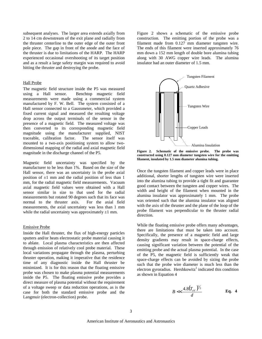subsequent analyses. The larger area extends axially from 2 to 14 cm downstream of the exit plane and radially from the thruster centerline to the outer edge of the outer front pole piece. The gap in front of the anode and the face of the thruster is due to limitations of the HARP. The HARP experienced occasional overshooting of its target position and as a result a large safety margin was required to avoid hitting the thruster and destroying the probe.

#### Hall Probe

The magnetic field structure inside the P5 was measured using a Hall sensor. Benchtop magnetic field measurements were made using a commercial system manufactured by F. W. Bell. The system consisted of a Hall sensor connected to a Gaussmeter, which provided a fixed current signal and measured the resulting voltage drop across the output terminals of the sensor in the presence of a magnetic field. The measured voltage was then converted to its corresponding magnetic field magnitude using the manufacturer supplied, NIST traceable, calibration factor. The sensor itself was mounted to a two-axis positioning system to allow twodimensional mapping of the radial and axial magnetic field magnitude in the discharge channel of the P5.

Magnetic field uncertainty was specified by the manufacturer to be less than 1%. Based on the size of the Hall sensor, there was an uncertainty in the probe axial position of  $\pm 1$  mm and the radial position of less than 1 mm, for the radial magnetic field measurements. Vacuum axial magnetic field values were obtained with a Hall sensor similar in size to that used for the radial measurements but rotated 90 degrees such that its face was normal to the thruster axis. For the axial field measurements, the axial uncertainty was less than 1 mm while the radial uncertainty was approximately  $\pm 1$  mm.

#### Emissive Probe

Inside the Hall thruster, the flux of high-energy particles sputters and/or heats electrostatic probe material causing it to ablate. Local plasma characteristics are then affected through emission of relatively cool probe material. These local variations propagate through the plasma, perturbing thruster operation, making it imperative that the residence time of any diagnostic inside the Hall thruster be minimized. It is for this reason that the floating emissive probe was chosen to make plasma potential measurements inside the P5. The floating emissive probe provides a direct measure of plasma potential without the requirement of a voltage sweep or data reduction operations, as is the case for both the standard emissive probe and the Langmuir (electron-collection) probe.

Figure 2 shows a schematic of the emissive probe construction. The emitting portion of the probe was a filament made from 0.127 mm diameter tungsten wire. The ends of this filament were inserted approximately 76 mm down a 152 mm length of double bore alumina tubing along with 30 AWG copper wire leads. The alumina insulator had an outer diameter of 1.5 mm.



**Figure 2. Schematic of the emissive probe. The probe was constructed using 0.127 mm diameter tungsten wire for the emitting filament, insulated by 1.5 mm diameter alumina tubing.** 

Once the tungsten filament and copper leads were in place additional, shorter lengths of tungsten wire were inserted into the alumina tubing to provide a tight fit and guarantee good contact between the tungsten and copper wires. The width and height of the filament when mounted in the alumina insulator was approximately 1 mm. The probe was oriented such that the alumina insulator was aligned with the axis of the thruster and the plane of the loop of the probe filament was perpendicular to the thruster radial direction.

While the floating emissive probe offers many advantages, there are limitations that must be taken into account. Specifically, the presence of a magnetic field and large density gradients may result in space-charge effects, causing significant variation between the potential of the emitting probe and the actual plasma potential. In the case of the P5, the magnetic field is sufficiently weak that space-charge effects can be avoided by sizing the probe such that the probe wire diameter is much less than the electron gyroradius. Hershkowitz<sup>1</sup> indicated this condition as shown in Equation 4

$$
B \ll \frac{4.8 (T_{eV})^{\frac{1}{2}}}{d} \qquad \text{Eq. 4}
$$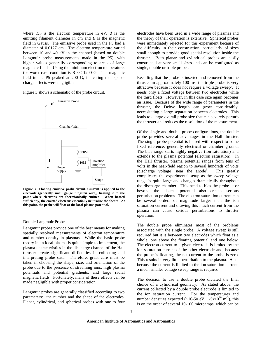where  $T_{eV}$  is the electron temperature in eV, *d* is the emitting filament diameter in cm and *B* is the magnetic field in Gauss. The emissive probe used in the P5 had a diameter of 0.0127 cm. The electron temperature varied between 10 and 40 eV in the channel (based on double Langmuir probe measurements made in the P5), with higher values generally corresponding to areas of large magnetic fields. Using the minimum electron temperature, the worst case condition is  $B \ll 1200$  G. The magnetic field in the P5 peaked at 200 G, indicating that spacecharge effects were negligible.

Figure 3 shows a schematic of the probe circuit.



**Figure 3. Floating emissive probe circuit. Current is applied to the electrode (generally small gauge tungsten wire), heating it to the point where electrons are thermionically emitted. When heated sufficiently, the emitted electrons essentially neutralize the sheath. At this point, the probe will float at the local plasma potential.** 

#### Double Langmuir Probe

Langmuir probes provide one of the best means for making spatially resolved measurements of electron temperature and number density in plasmas. While the basic probe theory in an ideal plasma is quite simple to implement, the plasma characteristics in the discharge channel of the Hall thruster create significant difficulties in collecting and interpreting probe data. Therefore, great care must be taken in choosing the shape, size, and orientation of the probe due to the presence of streaming ions, high plasma potentials and potential gradients, and large radial magnetic fields. Fortunately, many of these effects can be made negligible with proper consideration.

Langmuir probes are generally classified according to two parameters: the number and the shape of the electrodes. Planar, cylindrical, and spherical probes with one to four

electrodes have been used in a wide range of plasmas and the theory of their operation is extensive. Spherical probes were immediately rejected for this experiment because of the difficulty in their construction, particularly of sizes small enough to provide good spatial resolution inside the thruster. Both planar and cylindrical probes are easily constructed at very small sizes and can be configured as single, double or triple probes.

Recalling that the probe is inserted and removed from the thruster in approximately 100 ms, the triple probe is very attractive because it does not require a voltage sweep<sup>2</sup>. It needs only a fixed voltage between two electrodes while the third floats. However, in this case size again becomes an issue. Because of the wide range of parameters in the thruster, the Debye length can grow considerably, necessitating a large separation between electrodes. This leads to a large overall probe size that can severely perturb the thruster and reduces the resolution of the measurement.

Of the single and double probe configurations, the double probe provides several advantages in the Hall thruster. The single probe potential is biased with respect to some fixed reference; generally electrical or chamber ground. The bias range starts highly negative (ion saturation) and extends to the plasma potential (electron saturation). In the Hall thruster, plasma potential ranges from tens of volts in the near-field region to several hundreds of volts (discharge voltage) near the anode<sup>3</sup>. This greatly complicates the experimental setup as the sweep voltage range is quite large and changes dramatically throughout the discharge chamber. This need to bias the probe at or beyond the plasma potential also creates serious perturbation problems. The electron saturation current can be several orders of magnitude larger than the ion saturation current and drawing this much current from the plasma can cause serious perturbations to thruster operation.

The double probe eliminates most of the problems associated with the single probe. A voltage sweep is still required but it is between two electrodes which float as a whole, one above the floating potential and one below. The electron current to a given electrode is limited by the ion saturation current of the other electrode and, because the probe is floating, the net current to the probe is zero. This results in very little perturbation to the plasma. Also, because the current is limited to the ion saturation current, a much smaller voltage sweep range is required.

The decision to use a double probe dictated the final choice of a cylindrical geometry. As stated above, the current collected by a double probe electrode is limited to the ion saturation current. For the temperatures and number densities expected  $\left(\sim 10\text{-}50 \text{ eV}, 1\text{-}5 \times 10^{18} \text{ m}^3\right)$ , this is on the order of several 10-100 microamps, which can be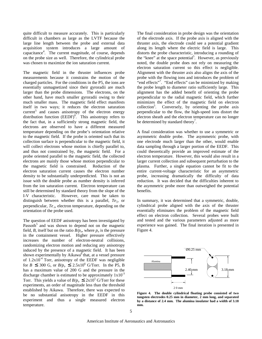quite difficult to measure accurately. This is particularly difficult in chambers as large as the LVTF because the large line length between the probe and external data acquisition system introduces a large amount of capacitance<sup>4</sup> . The current magnitude, of course, depends on the probe size as well. Therefore, the cylindrical probe was chosen to maximize the ion saturation current.

The magnetic field in the thruster influences probe measurements because it constrains the motion of the charged particles. For the conditions in the P5, the ions are essentially unmagnetized since their gyroradii are much larger than the probe dimensions. The electrons, on the other hand, have much smaller gyroradii owing to their much smaller mass. The magnetic field effect manifests itself in two ways; it reduces the electron saturation current<sup>5</sup> and causes anisotropy of the electron energy distribution function  $(EEDF)^6$ . This anisotropy refers to the fact that, in a sufficiently strong magnetic field, the electrons are observed to have a different measured temperature depending on the probe's orientation relative to the magnetic field. If the probe is oriented such that its collection surface is perpendicular to the magnetic field, it will collect electrons whose motion is chiefly parallel to, and thus not constrained by, the magnetic field. For a probe oriented parallel to the magnetic field, the collected electrons are mainly those whose motion perpendicular to the magnetic field is constrained. Reduction of the electron saturation current causes the electron number density to be substantially underpredicted. This is not an issue with the double probe as number density is inferred from the ion saturation current. Electron temperature can still be determined by standard theory from the slope of the I-V characteristic. However, care must be taken to distinguish between whether this is a parallel, *Te||,* or perpendicular, *Te*⊥, electron temperature, depending on the orientation of the probe used.

The question of EEDF anisotropy has been investigated by Passoth<sup>5</sup> and was shown to depend not on the magnetic field, *B*, itself but on the ratio  $B/p_o$ , where  $p_o$  is the pressure in the containment vessel. Higher pressure effectively increases the number of electron-neutral collisions, randomizing electron motion and reducing any anisotropy induced by the presence of a magnetic field. It has been shown experimentally by Aikawa<sup>6</sup> that, at a vessel pressure of  $1.2x10^{-4}$  Torr, anisotropy of the EEDF was negligible for  $B \leq 300$  G, or  $B/p_0 \leq 2.5 \times 10^6$  G/Torr. In the P5, B has a maximum value of 200 G and the pressure in the discharge chamber is estimated to be approximately  $1x10^{-3}$ Torr. This yields a value of  $B/p_o \leq 2x10^5$  G/Torr for these experiments, an order of magnitude less than the threshold established by Aikawa. Therefore, there was expected to be no substantial anisotropy in the EEDF in this experiment and thus a single measured electron temperature.

The final consideration in probe design was the orientation of the electrode axis. If the probe axis is aligned with the thruster axis, the electrode could see a potential gradient along its length where the electric field is large. This distorts the probe characteristic, introducing a rounding of the "knee" at the space potential<sup>5</sup>. However, as previously noted, the double probe does not rely on measuring the electron saturation current so this effect is negligible. Alignment with the thruster axis also aligns the axis of the probe with the flowing ions and introduces the problem of "end effects"<sup>7</sup>. "End effects" can be minimized by making the probe length to diameter ratio sufficiently large. This alignment has the added benefit of orienting the probe perpendicular to the radial magnetic field, which further minimizes the effect of the magnetic field on electron collection<sup>5</sup>. . Conversely, by orienting the probe axis perpendicular to the flow, the high-speed ions distort the electron sheath and the electron temperature can no longer be determined by standard theory<sup>7</sup>.

A final consideration was whether to use a symmetric or asymmetric double probe. The asymmetric probe, with one electrode much larger than the other, would enable data sampling through a larger portion of the EEDF. This could theoretically provide an improved estimate of the electron temperature. However, this would also result in a larger current collection and subsequent perturbation to the plasma. Further, a single equation cannot be fit to the entire current-voltage characteristic for an asymmetric probe, increasing dramatically the difficulty of data reduction. It was decided that the difficulties inherent to the asymmetric probe more than outweighed the potential benefits.

In summary, it was determined that a symmetric, double, cylindrical probe aligned with the axis of the thruster essentially eliminates the problem of the magnetic field effect on electron collection. Several probes were built and tested and the various parameters adjusted as more experience was gained. The final iteration is presented in Figure 4.



**Figure 4. The double cylindrical floating probe consisted of two tungsten electrodes 0.25 mm in diameter, 2 mm long, and separated by a distance of 2.4 mm. The alumina insulator had a width of 3.18 mm.**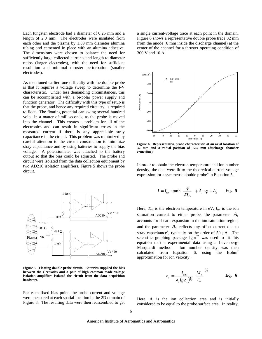Each tungsten electrode had a diameter of 0.25 mm and a length of 2.0 mm. The electrodes were insulated from each other and the plasma by 1.59 mm diameter alumina tubing and cemented in place with an alumina adhesive. The dimensions were chosen to balance the need for sufficiently large collected currents and length to diameter ratios (larger electrodes), with the need for sufficient resolution and minimal thruster perturbation (smaller electrodes).

As mentioned earlier, one difficulty with the double probe is that it requires a voltage sweep to determine the I-V characteristic. Under less demanding circumstances, this can be accomplished with a bi-polar power supply and function generator. The difficulty with this type of setup is that the probe, and hence any required circuitry, is required to float. The floating potential can swing several hundred volts, in a matter of milliseconds, as the probe is moved into the channel. This creates a problem for all of the electronics and can result in significant errors in the measured current if there is any appreciable stray capacitance in the circuit. This problem was minimized by careful attention to the circuit construction to minimize stray capacitance and by using batteries to supply the bias voltage. A potentiometer was attached to the battery output so that the bias could be adjusted. The probe and circuit were isolated from the data collection equipment by two AD210 isolation amplifiers. Figure 5 shows the probe circuit.



**Figure 5. Floating double probe circuit. Batteries supplied the bias between the electrodes and a pair of high common mode voltage isolation amplifiers isolated the circuit from the data acquisition hardware.** 

For each fixed bias point, the probe current and voltage were measured at each spatial location in the 2D domain of Figure 3. The resulting data were then reassembled to get

a single current-voltage trace at each point in the domain. Figure 6 shows a representative double probe trace 32 mm from the anode (6 mm inside the discharge channel) at the center of the channel for a thruster operating condition of 300 V and 10 A.



**Figure 6. Representative probe characteristic at an axial location of 32 mm and a radial position of 12.5 mm (discharge chamber centerline).** 

In order to obtain the electron temperature and ion number density, the data were fit to the theoretical current-voltage expression for a symmetric double probe<sup>4</sup> in Equation 5.

$$
I = I_{sat} \cdot \tanh\left(\frac{\phi}{2T_{ev}}\right) + A_1 \cdot \phi + A_2 \qquad \text{Eq. 5}
$$

Here,  $T_{eV}$  is the electron temperature in eV,  $I_{sat}$  is the ion saturation current to either probe, the parameter  $A_1$ accounts for sheath expansion in the ion saturation region, and the parameter  $A_2$  reflects any offset current due to stray capacitance<sup>4</sup>, typically on the order of 50  $\mu$ A. The scientific graphing package  $\text{Igor}^{\mathbb{N}}$  was used to fit this equation to the experimental data using a Levenberg-Marquardt method. Ion number density was then calculated from Equation 6, using the Bohm<sup>7</sup> approximation for ion velocity.

$$
n_i = \frac{I_{sat}}{A_s (qZ_i)^{\frac{3}{2}}} \left(\frac{M_i}{T_{ev}}\right)^{\frac{1}{2}}
$$
 Eq. 6

Here,  $A_s$  is the ion collection area and is initially considered to be equal to the probe surface area. In reality,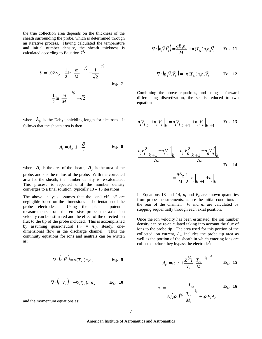the true collection area depends on the thickness of the sheath surrounding the probe, which is determined through an iterative process. Having calculated the temperature and initial number density, the sheath thickness is calculated according to Equation  $7^8$ :

$$
\delta = 1.02 \lambda_D \left[ \left( \frac{1}{2} \ln \left( \frac{m}{M} \right) \right)^{1/2} - \frac{1}{\sqrt{2}} \right]^{1/2} \cdot \text{Eq. 7}
$$

$$
\left[ \left( \frac{1}{2} \ln \left( \frac{m}{M} \right) \right)^{1/2} + \sqrt{2} \right]
$$

where  $\lambda_D$  is the Debye shielding length for electrons. It follows that the sheath area is then

$$
A_s = A_p \left( 1 + \frac{\delta}{r} \right) \qquad \qquad \textbf{Eq. 8}
$$

where  $A_s$  is the area of the sheath,  $A_p$  is the area of the probe, and *r* is the radius of the probe. With the corrected area for the sheath, the number density is re-calculated. This process is repeated until the number density converges to a final solution, typically  $10 - 15$  iterations.

The above analysis assumes that the "end effects" are negligible based on the dimensions and orientation of the probe electrodes. Using the plasma potential measurements from the emissive probe, the axial ion velocity can be estimated and the effect of the directed ion flux to the tip of the probe included. This is accomplished by assuming quasi-neutral  $(n_i = n_e)$ , steady, onedimensional flow in the discharge channel. Thus the continuity equations for ions and neutrals can be written as:

$$
\nabla \cdot \left(n_i \vec{V}_i\right) = \kappa(T_{ev}) n_i n_n \qquad \text{Eq. 9}
$$

$$
\nabla \cdot \left(n_n \vec{V}_n\right) = -\kappa(T_{ev})n_i n_n \qquad \text{Eq. 10}
$$

and the momentum equations as:

$$
\nabla \cdot \left(n_i \vec{V}_i \vec{V}_i\right) = \frac{qE_z n_i}{M} + \kappa(T_{ev}) n_i n_n \vec{V}_i \qquad \textbf{Eq. 11}
$$

$$
\nabla \cdot \left(n_n \vec{V}_n \vec{V}_n\right) = -\kappa(T_{ev})n_i n_n \vec{V}_n
$$
 Eq. 12

Combining the above equations, and using a forward differencing discretization, the set is reduced to two equations:

$$
n_{i}V_{i}|_{k} + n_{n}V_{n}|_{k} = n_{i}V_{i}|_{k+1} + n_{n}V_{n}|_{k+1}
$$
 Eq. 13

$$
\frac{n_{i}V_{i}^{2}\Big|_{k+1} - n_{i}V_{i}^{2}\Big|_{k}}{\Delta z} + \frac{n_{i}V_{n}^{2}\Big|_{k+1} + n_{i}V_{n}^{2}\Big|_{k}}{\Delta z}
$$
\n
$$
= \frac{qE_{z}}{M} \frac{1}{2} \Big(n_{i}|_{k+1} + n_{i}|_{k}\Big)
$$
\nEq. 14

In Equations 13 and 14,  $n_i$  and  $E_z$  are known quantities from probe measurements, as are the initial conditions at the rear of the channel.  $V_i$  and  $n_n$  are calculated by stepping sequentially through each axial position.

Once the ion velocity has been estimated, the ion number density can be re-calculated taking into account the flux of ions to the probe tip. The area used for this portion of the collected ion current,  $A_d$ , includes the probe tip area as well as the portion of the sheath in which entering ions are collected before they bypass the electrode<sup>7</sup>:

$$
A_d = \pi \left( r + \frac{Z^{\frac{1}{2}} l}{V_i} \left( \frac{T_{ev}}{M} \right)^{\frac{1}{2}} \right)^2
$$
 Eq. 15

$$
n_i = \frac{I_{sat}}{A_s(qZ)^{3/2} \left(\frac{T_{ev}}{M_i}\right)^{1/2} + qZV_iA_d}
$$
 Eq. 16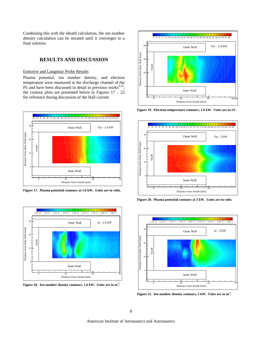Combining this with the sheath calculation, the ion number density calculation can be iterated until it converges to a final solution.

# **RESULTS AND DISCUSSION**

### Emissive and Langmuir Probe Results

Plasma potential, ion number density, and electron temperature were measured in the discharge channel of the P5 and have been discussed in detail in previous works $9,10$ ; the contour plots are presented below in Figures  $17 - 22$ for reference during discussion of the Hall current.



**Figure 17. Plasma potential contours at 1.6 kW. Units are in volts.** 



**Figure 18. Ion number density contours, 1.6 kW. Units are in m-3.** 



**Figure 19. Electron temperature contours, 1.6 kW. Units are in eV.** 



**Figure 20. Plasma potential contours at 3 kW. Units are in volts.** 



**Figure 21. Ion number density contours, 3 kW. Units are in m-3.**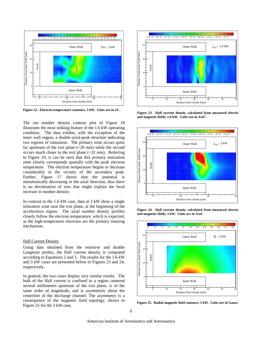

**Figure 22. Electron temperature contours, 3 kW. Units are in eV.** 

The ion number density contour plot of Figure 18 illustrates the most striking feature of the 1.6 kW operating condition. The data exhibit, with the exception of the inner wall region, a double-axial-peak structure indicating two regions of ionization. The primary zone occurs quite far upstream of the exit plane  $(\sim 20 \text{ mm})$  while the second occurs much closer to the exit plane  $(\sim 32 \text{ mm})$ . Referring to Figure 19, it can be seen that this primary ionization zone closely corresponds spatially with the peak electron temperature. The electron temperature begins to decrease considerably in the vicinity of the secondary peak. Further, Figure 17 shows that the potential is monotonically decreasing in the axial direction, thus there is no deceleration of ions that might explain the local increase in number density.

In contrast to the 1.6 kW case, data at 3 kW show a single ionization zone near the exit plane, at the beginning of the acceleration region. The axial number density profiles closely follow the electron temperature, which is expected, as the high-temperature electrons are the primary ionizing mechanism.

#### Hall Current Density

Using data obtained from the emissive and double Langmuir probes, the Hall current density is computed according to Equations 2 and 3. The results for the 1.6 kW and 3 kW cases are presented below in Figures 23 and 24, respectively.

In general, the two cases display very similar results. The bulk of the Hall current is confined to a region centered several millimeters upstream of the exit plane, is of the same order of magnitude, and is asymmetric about the centerline of the discharge channel. The asymmetry is a consequence of the magnetic field topology, shown in Figure 25 for the 3 kW case.



**Figure 23. Hall current density calculated from measured electric and magnetic fields, 1.6 kW. Units are in A/m2 .** 



**Figure 24. Hall current density calculated from measured electric and magnetic fields, 3 kW. Units are in A/m2 .** 



**Figure 25. Radial magnetic field contours, 3 kW. Units are in Gauss.**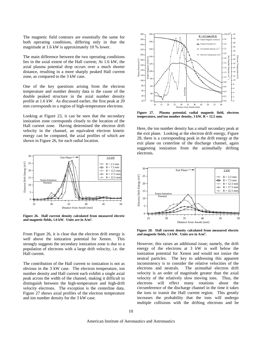The magnetic field contours are essentially the same for both operating conditions, differing only in that the magnitude at 1.6 kW is approximately 10 % lower.

The main difference between the two operating conditions lies in the axial extent of the Hall current; At 1.6 kW, the axial plasma potential drop occurs over a much shorter distance, resulting in a more sharply peaked Hall current zone, as compared to the 3 kW case.

One of the key questions arising from the electron temperature and number density data is the cause of the double peaked structure in the axial number density profile at 1.6 kW. As discussed earlier, the first peak at 20 mm corresponds to a region of high-temperature electrons.

Looking at Figure 23, it can be seen that the secondary ionization zone corresponds closely to the location of the Hall current zone. Having determined the electron drift velocity in the channel, an equivalent electron kinetic energy can be computed, the axial profiles of which are shown in Figure 26, for each radial location.



**Figure 26. Hall current density calculated from measured electric and magnetic fields, 1.6 kW. Units are in A/m2 .** 

From Figure 26, it is clear that the electron drift energy is well above the ionization potential for Xenon. This strongly suggests the secondary ionization zone is due to a population of electrons with a large drift velocity, i.e. the Hall current.

The contribution of the Hall current to ionization is not as obvious in the 3 kW case. The electron temperature, ion number density and Hall current each exhibit a single axial peak across the width of the channel, making it difficult to distinguish between the high-temperature and high-drift velocity electrons. The exception is the centerline data. Figure 27 shows axial profiles of the electron temperature and ion number density for the 3 kW case.



**Figure 27. Plasma potential, radial magnetic field, electron temperature, and ion number density, 3 kW, R = 12.5 mm.** 

Here, the ion number density has a small secondary peak at the exit plane. Looking at the electron drift energy, Figure 28, there is a corresponding peak in the drift energy at the exit plane on centerline of the discharge channel, again suggesting ionization from the azimuthally drifting electrons.



**Figure 28. Hall current density calculated from measured electric and magnetic fields, 1.6 kW. Units are in A/m2 .** 

However, this raises an additional issue; namely, the drift energy of the electrons at 3 kW is well below the ionization potential for Xenon and would not ionize the neutral particles. The key to addressing this apparent inconsistency is to consider the relative velocities of the electrons and neutrals. The azimuthal electron drift velocity is an order of magnitude greater than the axial velocity of the relatively slow moving ions. Thus, the electrons will effect many rotations about the circumference of the discharge channel in the time it takes the ions to transit the Hall current region. This greatly increases the probability that the ions will undergo multiple collisions with the drifting electrons and be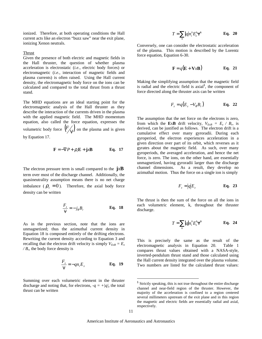ionized. Therefore, at both operating conditions the Hall current acts like an electron "buzz saw" near the exit plane, ionizing Xenon neutrals.

Thrust

Given the presence of both electric and magnetic fields in the Hall thruster, the question of whether plasma acceleration is electrostatic (*i.e.,* electric body forces) or electromagnetic (*i.e.,* interaction of magnetic fields and plasma currents) is often raised. Using the Hall current density, the electromagnetic body force on the ions can be calculated and compared to the total thrust from a thrust stand.

The MHD equations are an ideal starting point for the electromagnetic analysis of the Hall thruster as they describe the interaction of the currents driven in the plasma with the applied magnetic field. The MHD momentum equation, also called the force equation, expresses the volumetric body force  $(F/\sqrt{f})$  on the plasma and is given by Equation 17.

$$
\mathbf{F} = -\nabla P + \rho_c \mathbf{E} + \mathbf{j}x \mathbf{B} \qquad \qquad \mathbf{Eq.} \quad 17
$$

The electron pressure term is small compared to the  $j_xB$ term over most of the discharge channel. Additionally, the quasineutrality assumption means there is no net charge imbalance ( $\rho_c = 0$ ). Therefore, the axial body force density can be written

$$
\frac{F_z}{\Psi} = -j_\theta B_r
$$
 Eq. 18

As in the previous section, note that the ions are unmagnetized; thus the azimuthal current density in Equation 18 is composed entirely of the drifting electrons. Rewriting the current density according to Equation 3 and recalling that the electron drift velocity is simply  $V_{ExB} = E_z$  $/B<sub>r</sub>$ , the body force density is

$$
\frac{F_z}{\Psi} = -qn_i E_z
$$
 Eq. 19

Summing over each volumetric element in the thruster discharge and noting that, for electrons,  $-q = +|q|$ , the total thrust can be written

$$
T = \sum_{k} |q| n_i^k E_z^k \mathbf{\Psi}^k \qquad \qquad \mathbf{Eq.} \quad 20
$$

Conversely, one can consider the electrostatic acceleration of the plasma. This motion is described by the Lorentz force equation, Equation 6-30.

$$
\mathbf{F} = q(\mathbf{E} + \mathbf{V} \mathbf{x} \mathbf{B}) \qquad \qquad \mathbf{Eq. 21}
$$

Making the simplifying assumption that the magnetic field is radial and the electric field is axial<sup>§</sup>, the component of force directed along the thruster axis can be written

$$
F_z = q(E_z - V_{\theta}B_r) \qquad \text{Eq. 22}
$$

The assumption that the net force on the electrons is zero, from which the **ExB** drift velocity,  $V_{ExB} = E_z / B_r$ , is derived, can be justified as follows. The electron drift is a cumulative effect over many gyroradii. During each gyroperiod, the electron experiences acceleration in a given direction over part of its orbit, which reverses as it gyrates about the magnetic field. As such, over many gyroperiods, the averaged acceleration, and hence the net force, is zero. The ions, on the other hand, are essentially unmagnetized, having gyroradii larger than the discharge channel dimensions. As a result, they develop no azimuthal motion. Thus the force on a single ion is simply

$$
F_z = |q|E_z \qquad \qquad \textbf{Eq. 23}
$$

The thrust is then the sum of the force on all the ions in each volumetric element, k, throughout the thruster discharge.

$$
T = \sum_{k} |q| n_i^k E_z^k \forall^k \qquad \textbf{Eq. 24}
$$

This is precisely the same as the result of the electromagnetic analysis in Equation 20. Table 1 compares thrust values obtained with a NASA-style, inverted-pendulum thrust stand and those calculated using the Hall current density integrated over the plasma volume. Two numbers are listed for the calculated thrust values:

 $\overline{a}$ 

<sup>§</sup> Strictly speaking, this is not true throughout the entire discharge channel and near-field region of the thruster. However, the majority of the acceleration is confined to a region centered several millimeters upstream of the exit plane and in this region the magnetic and electric fields are essentially radial and axial, respectively.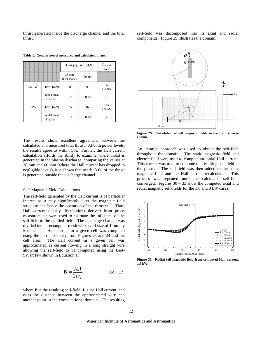thrust generated inside the discharge channel and the total thrust.

self-field was decomposed into its axial and radial components. Figure 29 illustrates the domain.

|                |                                 | $T = jxB = n_i qEV$   |                 | Thrust<br>Stand   |
|----------------|---------------------------------|-----------------------|-----------------|-------------------|
|                |                                 | 38 mm<br>(Exit Plane) | $60 \text{ mm}$ |                   |
| 1.6 kW         | Thrust [mN]                     | 68                    | 93              | 95<br>$\pm$ 3 mN  |
|                | <b>Total Thrust</b><br>Fraction | 0.72                  | 0.98            |                   |
| $3 \text{ kW}$ | Thrust [mN]                     | 125                   | 168             | 175<br>$\pm$ 3 mN |
|                | <b>Total Thrust</b><br>Fraction | 0.71                  | 0.96            |                   |

 **Table 1. Comparison of measured and calculated thrust.** 

The results show excellent agreement between the calculated and measured total thrust. At both power levels, the results agree to within 5%. Further, the Hall current calculation affords the ability to examine where thrust is generated in the plasma discharge; comparing the values at 38 mm and 60 mm (where the Hall current has dropped to negligible levels), it is shown that nearly 30% of the thrust is generated outside the discharge channel.

#### Self-Magnetic Field Calculations

The self-field generated by the Hall current is of particular interest as it may significantly alter the magnetic field structure and hence the operation of the thruster $11$ . Thus, Hall current density distributions derived from probe measurements were used to estimate the influence of the self-field to the applied field. The discharge channel was divided into a rectangular mesh with a cell size of 1 mm by 5 mm. The Hall current in a given cell was computed using the current density from Figures 23 and 24 and the cell area. The Hall current in a given cell was approximated as current flowing in a long straight wire allowing the self-field to be computed using the Biot-Savart law shown in Equation 17

$$
\mathbf{B} = \frac{\mu_0 \mathbf{I}}{2\pi r_I} \qquad \qquad \mathbf{Eq. 17}
$$

where **B** is the resulting self-field, **I** is the Hall current, and  $r<sub>I</sub>$  is the distance between the approximated wire and another point in the computational domain. The resulting



**Figure 29. Calculation of self magnetic fields in the P5 discharge channel.** 

An iterative approach was used to obtain the self-field throughout the domain. The static magnetic field and electric field were used to compute an initial Hall current. This current was used to compute the resulting self-field in the plasma. The self-field was then added to the static magnetic field and the Hall current recalculated. This process was repeated until the calculated self-field converged. Figures  $30 - 33$  show the computed axial and radial magnetic self-fields for the 1.6 and 3 kW cases.



**Figure 30. Radial self magnetic field from computed Hall current, 1.6 kW.**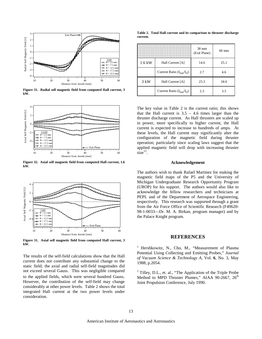

**Figure 31. Radial self magnetic field from computed Hall current, 3 kW.** 



**Figure 32. Axial self magnetic field from computed Hall current, 1.6 kW.** 



**Figure 31. Axial self magnetic field from computed Hall current, 3 kW.** 

The results of the self-field calculations show that the Hall current does not contribute any substantial change to the static field; the axial and radial self-field magnitudes did not exceed several Gauss. This was negligible compared to the applied fields, which were several hundred Gauss. However, the contribution of the self-field may change considerably at other power levels. Table 2 shows the total integrated Hall current at the two power levels under consideration.

**Table 2. Total Hall current and its comparison to thruster discharge current.** 

|                |                                                | 38 mm<br>(Exit Plane) | $60 \text{ mm}$ |
|----------------|------------------------------------------------|-----------------------|-----------------|
| $1.6$ kW       | Hall Current [A]                               | 14.6                  | 25.1            |
|                | Current Ratio $(I_{\text{Hall}}/I_{\text{D}})$ | 2.7                   | 4.6             |
| $3 \text{ kW}$ | Hall Current [A]                               | 23.3                  | 34.6            |
|                | Current Ratio $(I_{\text{Hall}}/I_{\text{D}})$ | つ 3                   | 3.5             |

The key value in Table 2 is the current ratio; this shows that the Hall current is  $3.5 - 4.6$  times larger than the thruster discharge current. As Hall thrusters are scaled up in power, more specifically to higher current, the Hall current is expected to increase to hundreds of amps. At these levels, the Hall current may significantly alter the configuration of the magnetic field during thruster operation; particularly since scaling laws suggest that the applied magnetic field will drop with increasing thruster  $size<sup>12</sup>$ .

#### **Acknowledgement**

The authors wish to thank Rafael Martinez for making the magnetic field maps of the P5 and the University of Michigan Undergraduate Research Opportunity Program (UROP) for his support. The authors would also like to acknowledge the fellow researchers and technicians at PEPL and of the Department of Aerospace Engineering, respectively. This research was supported through a grant from the Air Force Office of Scientific Research (F49620- 98-1-0033—Dr. M. A. Birkan, program manager) and by the Palace Knight program.

#### **REFERENCES**

1 Hershkowitz, N., Cho, M., "Measurement of Plasma Potential Using Collecting and Emitting Probes," *Journal of Vacuum Science & Technology A*, Vol. **6**, No. 3, May 1988, p.2054.

 $2$  Tilley, D.L., et. al., "The Application of the Triple Probe Method to MPD Thruster Plumes," AIAA 90-2667,  $26<sup>th</sup>$ Joint Propulsion Conference, July 1990.